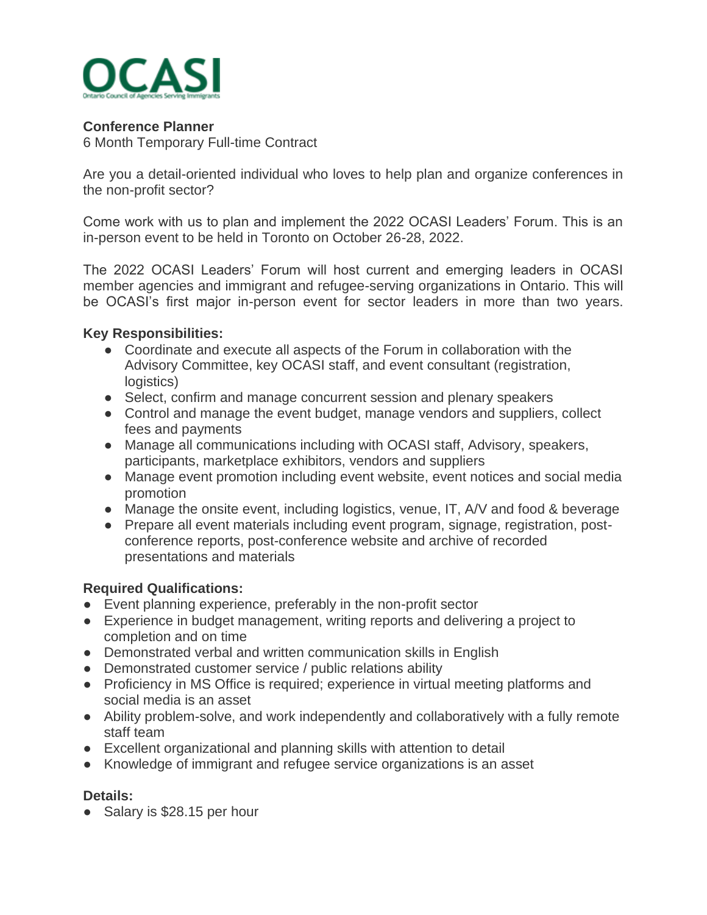

## **Conference Planner**

6 Month Temporary Full-time Contract

Are you a detail-oriented individual who loves to help plan and organize conferences in the non-profit sector?

Come work with us to plan and implement the 2022 OCASI Leaders' Forum. This is an in-person event to be held in Toronto on October 26-28, 2022.

The 2022 OCASI Leaders' Forum will host current and emerging leaders in OCASI member agencies and immigrant and refugee-serving organizations in Ontario. This will be OCASI's first major in-person event for sector leaders in more than two years.

## **Key Responsibilities:**

- Coordinate and execute all aspects of the Forum in collaboration with the Advisory Committee, key OCASI staff, and event consultant (registration, logistics)
- Select, confirm and manage concurrent session and plenary speakers
- Control and manage the event budget, manage vendors and suppliers, collect fees and payments
- Manage all communications including with OCASI staff, Advisory, speakers, participants, marketplace exhibitors, vendors and suppliers
- Manage event promotion including event website, event notices and social media promotion
- Manage the onsite event, including logistics, venue, IT, A/V and food & beverage
- Prepare all event materials including event program, signage, registration, postconference reports, post-conference website and archive of recorded presentations and materials

### **Required Qualifications:**

- Event planning experience, preferably in the non-profit sector
- Experience in budget management, writing reports and delivering a project to completion and on time
- Demonstrated verbal and written communication skills in English
- Demonstrated customer service / public relations ability
- Proficiency in MS Office is required; experience in virtual meeting platforms and social media is an asset
- Ability problem-solve, and work independently and collaboratively with a fully remote staff team
- Excellent organizational and planning skills with attention to detail
- Knowledge of immigrant and refugee service organizations is an asset

# **Details:**

• Salary is \$28.15 per hour